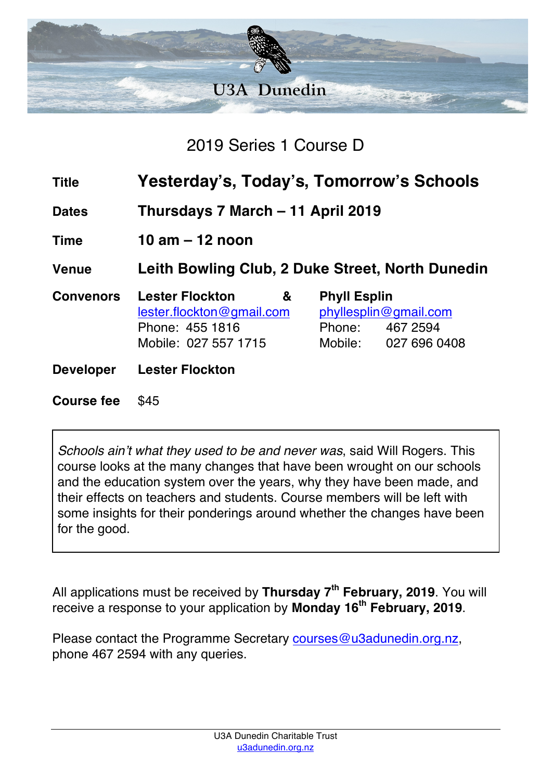

2019 Series 1 Course D

| <b>Title</b>      | Yesterday's, Today's, Tomorrow's Schools                                                            |                     |                                                                  |
|-------------------|-----------------------------------------------------------------------------------------------------|---------------------|------------------------------------------------------------------|
| <b>Dates</b>      | Thursdays 7 March - 11 April 2019                                                                   |                     |                                                                  |
| <b>Time</b>       | 10 am $-$ 12 noon                                                                                   |                     |                                                                  |
| <b>Venue</b>      | Leith Bowling Club, 2 Duke Street, North Dunedin                                                    |                     |                                                                  |
| <b>Convenors</b>  | <b>Lester Flockton</b><br>&<br>lester.flockton@gmail.com<br>Phone: 455 1816<br>Mobile: 027 557 1715 | <b>Phyll Esplin</b> | phyllesplin@gmail.com<br>Phone: 467 2594<br>Mobile: 027 696 0408 |
| <b>Developer</b>  | <b>Lester Flockton</b>                                                                              |                     |                                                                  |
| <b>Course fee</b> | \$45                                                                                                |                     |                                                                  |

*Schools ain't what they used to be and never was*, said Will Rogers. This course looks at the many changes that have been wrought on our schools and the education system over the years, why they have been made, and their effects on teachers and students. Course members will be left with some insights for their ponderings around whether the changes have been for the good.

All applications must be received by **Thursday 7th February, 2019**. You will receive a response to your application by **Monday 16th February, 2019**.

Please contact the Programme Secretary courses@u3adunedin.org.nz, phone 467 2594 with any queries.